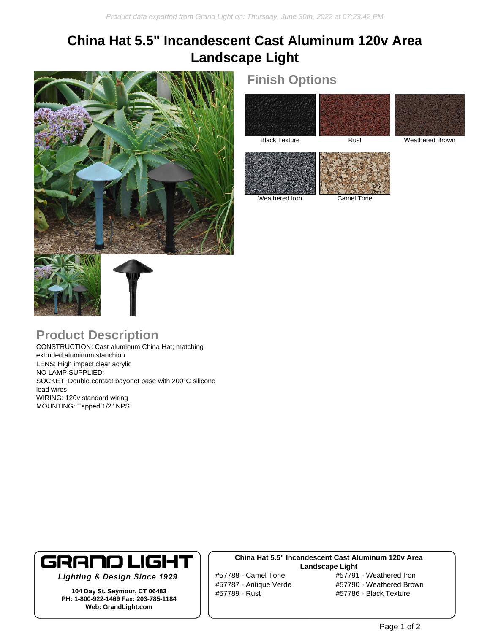# **China Hat 5.5" Incandescent Cast Aluminum 120v Area Landscape Light**



## **Finish Options**





Black Texture Rust Rust Weathered Brown



Weathered Iron Camel Tone

## **Product Description**

CONSTRUCTION: Cast aluminum China Hat; matching extruded aluminum stanchion LENS: High impact clear acrylic NO LAMP SUPPLIED: SOCKET: Double contact bayonet base with 200°C silicone lead wires WIRING: 120v standard wiring MOUNTING: Tapped 1/2" NPS



**Lighting & Design Since 1929** 

**104 Day St. Seymour, CT 06483 PH: 1-800-922-1469 Fax: 203-785-1184 Web: GrandLight.com**

### **China Hat 5.5" Incandescent Cast Aluminum 120v Area Landscape Light**

#57789 - Rust #57786 - Black Texture

#57788 - Camel Tone #57791 - Weathered Iron #57787 - Antique Verde #57790 - Weathered Brown